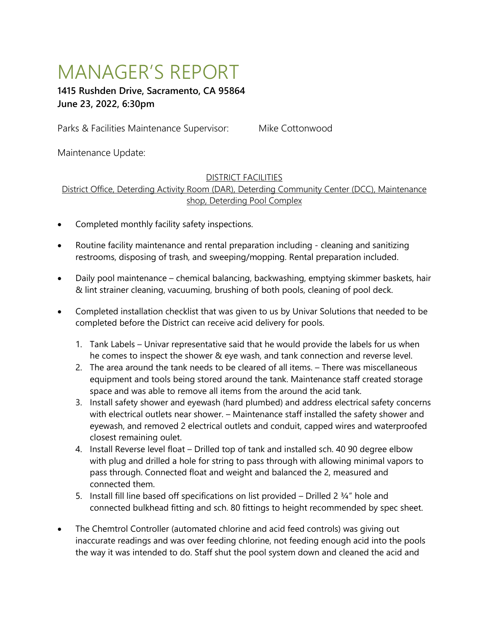# MANAGER'S REPORT

# **1415 Rushden Drive, Sacramento, CA 95864 June 23, 2022, 6:30pm**

Parks & Facilities Maintenance Supervisor: Mike Cottonwood

Maintenance Update:

# DISTRICT FACILITIES

District Office, Deterding Activity Room (DAR), Deterding Community Center (DCC), Maintenance shop, Deterding Pool Complex

- Completed monthly facility safety inspections.
- Routine facility maintenance and rental preparation including cleaning and sanitizing restrooms, disposing of trash, and sweeping/mopping. Rental preparation included.
- Daily pool maintenance chemical balancing, backwashing, emptying skimmer baskets, hair & lint strainer cleaning, vacuuming, brushing of both pools, cleaning of pool deck.
- Completed installation checklist that was given to us by Univar Solutions that needed to be completed before the District can receive acid delivery for pools.
	- 1. Tank Labels Univar representative said that he would provide the labels for us when he comes to inspect the shower & eye wash, and tank connection and reverse level.
	- 2. The area around the tank needs to be cleared of all items. There was miscellaneous equipment and tools being stored around the tank. Maintenance staff created storage space and was able to remove all items from the around the acid tank.
	- 3. Install safety shower and eyewash (hard plumbed) and address electrical safety concerns with electrical outlets near shower. – Maintenance staff installed the safety shower and eyewash, and removed 2 electrical outlets and conduit, capped wires and waterproofed closest remaining oulet.
	- 4. Install Reverse level float Drilled top of tank and installed sch. 40 90 degree elbow with plug and drilled a hole for string to pass through with allowing minimal vapors to pass through. Connected float and weight and balanced the 2, measured and connected them.
	- 5. Install fill line based off specifications on list provided Drilled 2 3/4" hole and connected bulkhead fitting and sch. 80 fittings to height recommended by spec sheet.
- The Chemtrol Controller (automated chlorine and acid feed controls) was giving out inaccurate readings and was over feeding chlorine, not feeding enough acid into the pools the way it was intended to do. Staff shut the pool system down and cleaned the acid and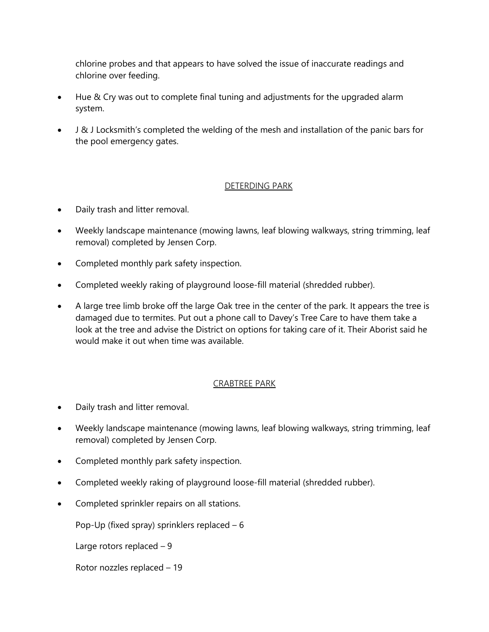chlorine probes and that appears to have solved the issue of inaccurate readings and chlorine over feeding.

- Hue & Cry was out to complete final tuning and adjustments for the upgraded alarm system.
- J & J Locksmith's completed the welding of the mesh and installation of the panic bars for the pool emergency gates.

#### DETERDING PARK

- Daily trash and litter removal.
- Weekly landscape maintenance (mowing lawns, leaf blowing walkways, string trimming, leaf removal) completed by Jensen Corp.
- Completed monthly park safety inspection.
- Completed weekly raking of playground loose-fill material (shredded rubber).
- A large tree limb broke off the large Oak tree in the center of the park. It appears the tree is damaged due to termites. Put out a phone call to Davey's Tree Care to have them take a look at the tree and advise the District on options for taking care of it. Their Aborist said he would make it out when time was available.

### CRABTREE PARK

- Daily trash and litter removal.
- Weekly landscape maintenance (mowing lawns, leaf blowing walkways, string trimming, leaf removal) completed by Jensen Corp.
- Completed monthly park safety inspection.
- Completed weekly raking of playground loose-fill material (shredded rubber).
- Completed sprinkler repairs on all stations.

Pop-Up (fixed spray) sprinklers replaced  $-6$ 

Large rotors replaced  $-9$ 

Rotor nozzles replaced – 19